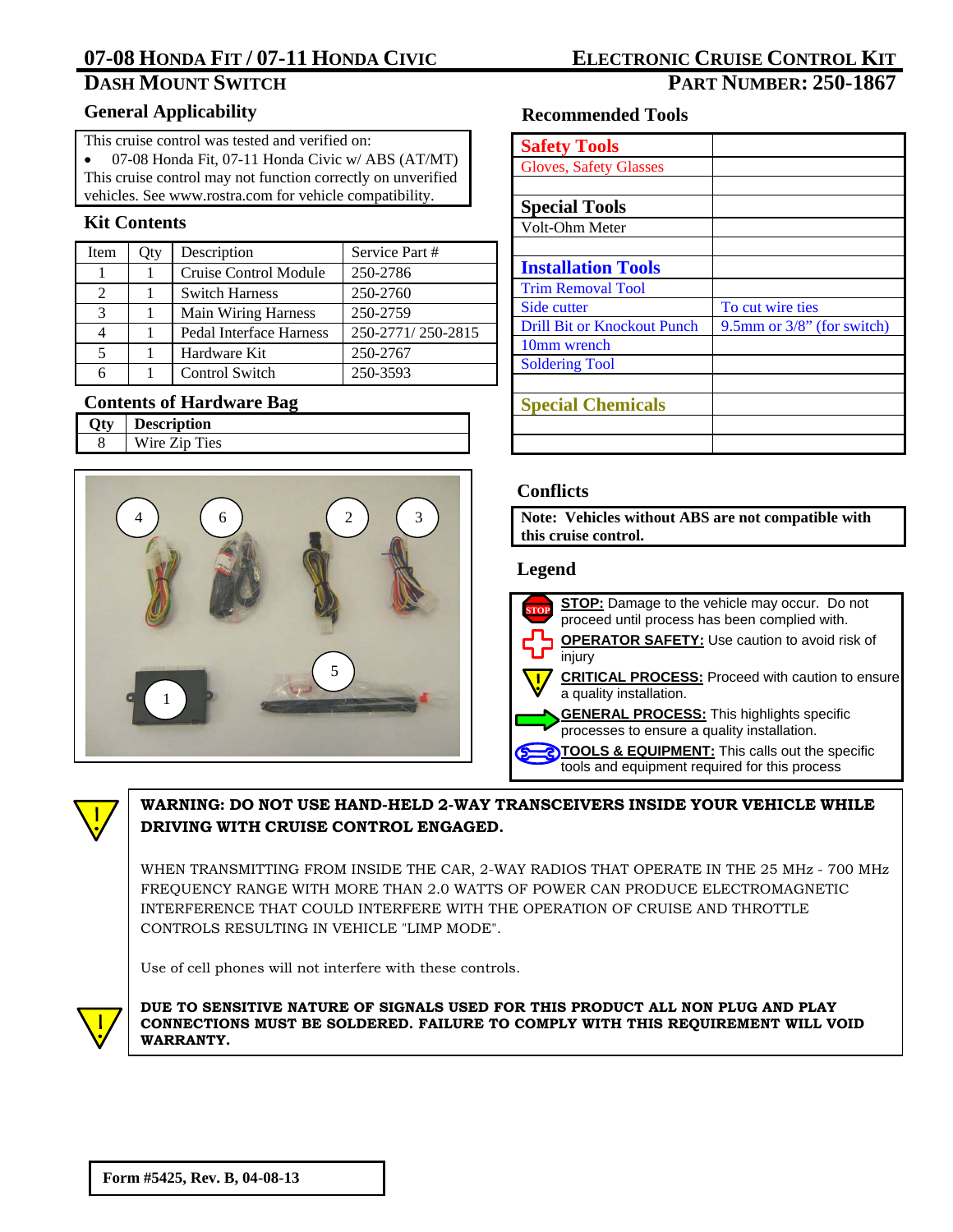## **DASH MOUNT SWITCH PART NUMBER: 250-1867**

### **General Applicability**

This cruise control was tested and verified on:

- 07-08 Honda Fit, 07-11 Honda Civic w/ ABS (AT/MT)
- This cruise control may not function correctly on unverified
- vehicles. See www.rostra.com for vehicle compatibility.

## **Kit Contents**

| <b>Item</b>    | Qty | Description                | Service Part #    |
|----------------|-----|----------------------------|-------------------|
|                |     | Cruise Control Module      | 250-2786          |
| $\mathfrak{D}$ |     | <b>Switch Harness</b>      | 250-2760          |
| 3              |     | <b>Main Wiring Harness</b> | 250-2759          |
| 4              |     | Pedal Interface Harness    | 250-2771/250-2815 |
| 5              |     | Hardware Kit               | 250-2767          |
| 6              |     | Control Switch             | 250-3593          |

## **Contents of Hardware Bag**

| <b>Description</b> |
|--------------------|
| Wire Zip Ties      |
|                    |



## **Recommended Tools**

| <b>Safety Tools</b>                |                               |
|------------------------------------|-------------------------------|
| <b>Gloves, Safety Glasses</b>      |                               |
|                                    |                               |
| <b>Special Tools</b>               |                               |
| Volt-Ohm Meter                     |                               |
|                                    |                               |
| <b>Installation Tools</b>          |                               |
| <b>Trim Removal Tool</b>           |                               |
| Side cutter                        | To cut wire ties              |
| <b>Drill Bit or Knockout Punch</b> | 9.5mm or $3/8$ " (for switch) |
| 10mm wrench                        |                               |
| <b>Soldering Tool</b>              |                               |
|                                    |                               |
| <b>Special Chemicals</b>           |                               |
|                                    |                               |
|                                    |                               |

### **Conflicts**

**Note: Vehicles without ABS are not compatible with this cruise control.** 

### **Legend**

| <b>STOP:</b> Damage to the vehicle may occur. Do not<br>proceed until process has been complied with. |
|-------------------------------------------------------------------------------------------------------|
| <b>OPERATOR SAFETY:</b> Use caution to avoid risk of<br>injury                                        |
| <b>CRITICAL PROCESS:</b> Proceed with caution to ensure<br>a quality installation.                    |
| <b>GENERAL PROCESS:</b> This highlights specific<br>processes to ensure a quality installation.       |
| TOOLS & EQUIPMENT: This calls out the specific<br>tools and equipment required for this process       |



### **WARNING: DO NOT USE HAND-HELD 2-WAY TRANSCEIVERS INSIDE YOUR VEHICLE WHILE DRIVING WITH CRUISE CONTROL ENGAGED.**

WHEN TRANSMITTING FROM INSIDE THE CAR, 2-WAY RADIOS THAT OPERATE IN THE 25 MHz - 700 MHz FREQUENCY RANGE WITH MORE THAN 2.0 WATTS OF POWER CAN PRODUCE ELECTROMAGNETIC INTERFERENCE THAT COULD INTERFERE WITH THE OPERATION OF CRUISE AND THROTTLE CONTROLS RESULTING IN VEHICLE "LIMP MODE".

Use of cell phones will not interfere with these controls.



**DUE TO SENSITIVE NATURE OF SIGNALS USED FOR THIS PRODUCT ALL NON PLUG AND PLAY CONNECTIONS MUST BE SOLDERED. FAILURE TO COMPLY WITH THIS REQUIREMENT WILL VOID WARRANTY.**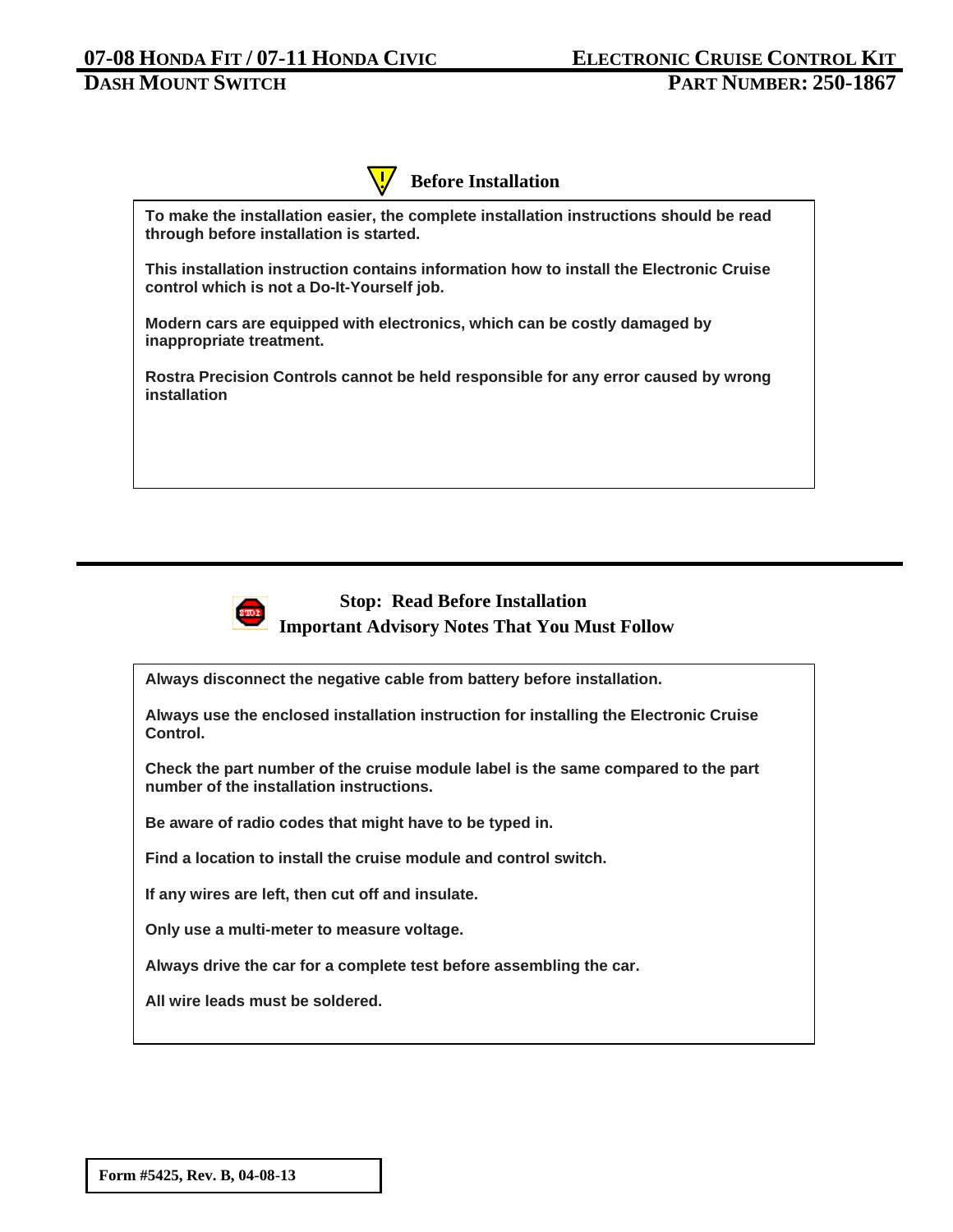

**To make the installation easier, the complete installation instructions should be read through before installation is started.** 

**This installation instruction contains information how to install the Electronic Cruise control which is not a Do-It-Yourself job.** 

**Modern cars are equipped with electronics, which can be costly damaged by inappropriate treatment.** 

**Rostra Precision Controls cannot be held responsible for any error caused by wrong installation**



## **Stop: Read Before Installation Important Advisory Notes That You Must Follow**

**Always disconnect the negative cable from battery before installation.** 

**Always use the enclosed installation instruction for installing the Electronic Cruise Control.** 

**Check the part number of the cruise module label is the same compared to the part number of the installation instructions.** 

**Be aware of radio codes that might have to be typed in.** 

**Find a location to install the cruise module and control switch.** 

**If any wires are left, then cut off and insulate.** 

**Only use a multi-meter to measure voltage.** 

**Always drive the car for a complete test before assembling the car.** 

**All wire leads must be soldered.**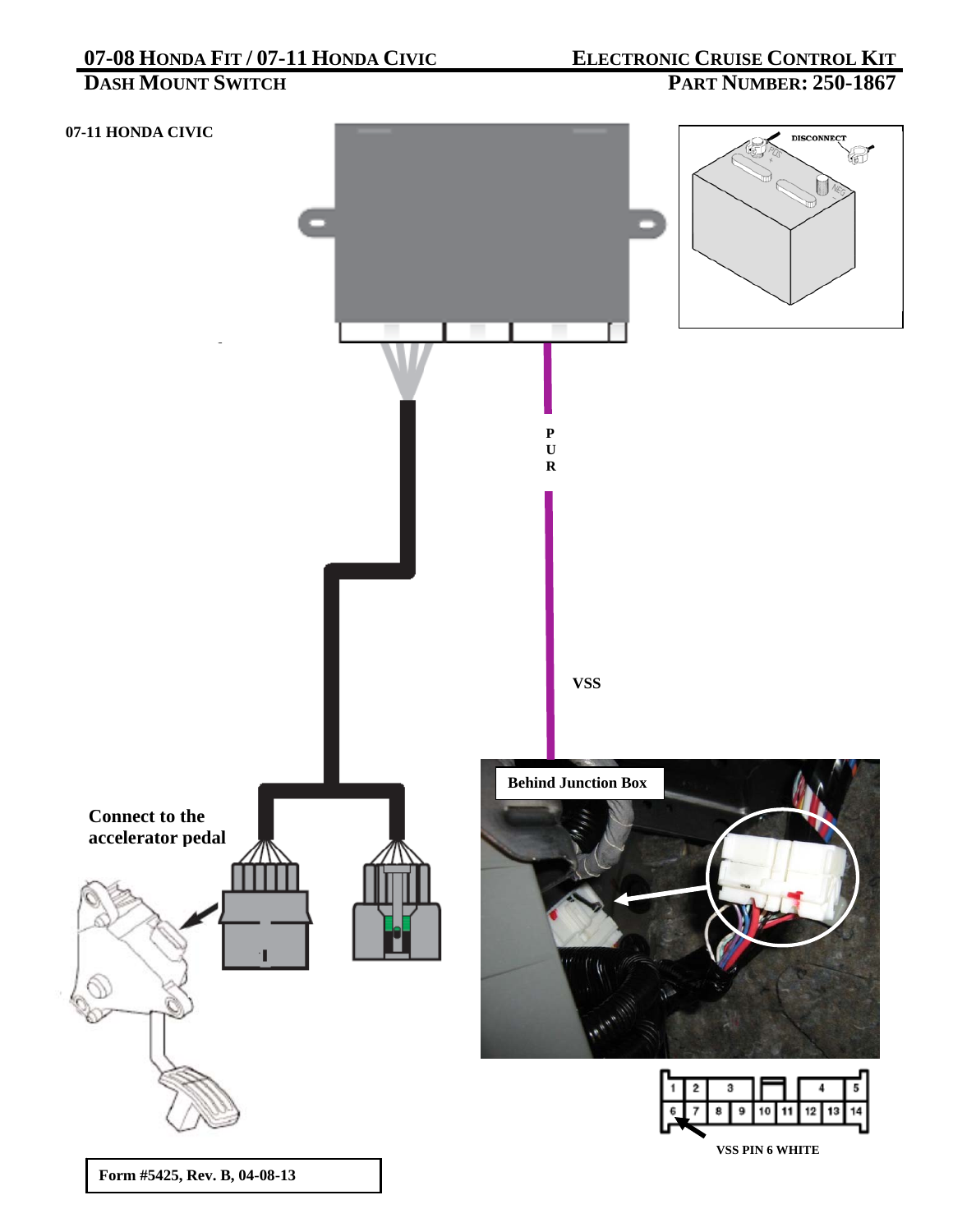# **07-08 HONDA FIT / 07-11 HONDA CIVIC<br>DASH MOUNT SWITCH**

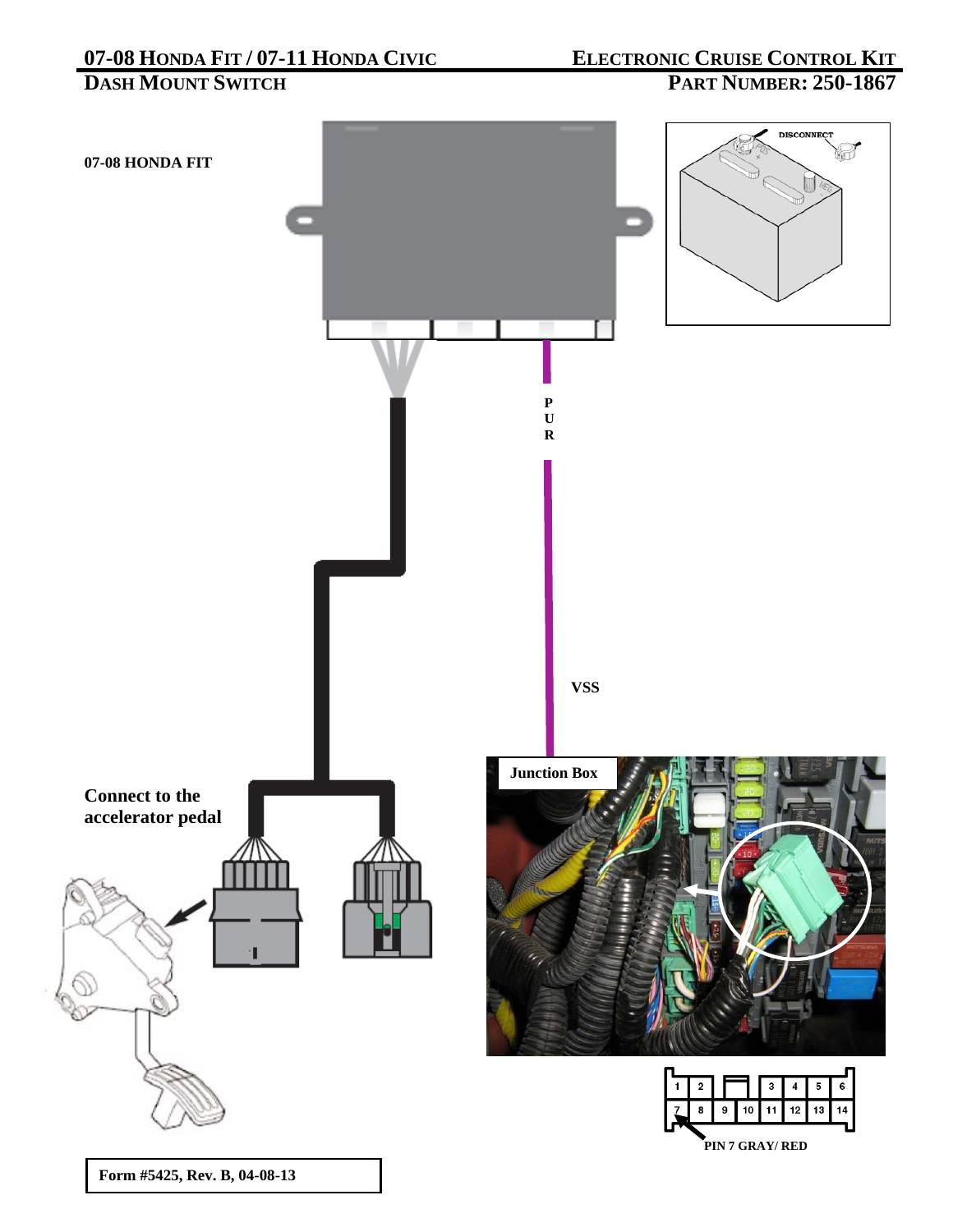**DASH MOUNT SWITCH PART NUMBER: 250-1867** 

**07-08 HONDA FIT** 







**P U R** 

**VSS** 



**Form #5425, Rev. B, 04-08-13**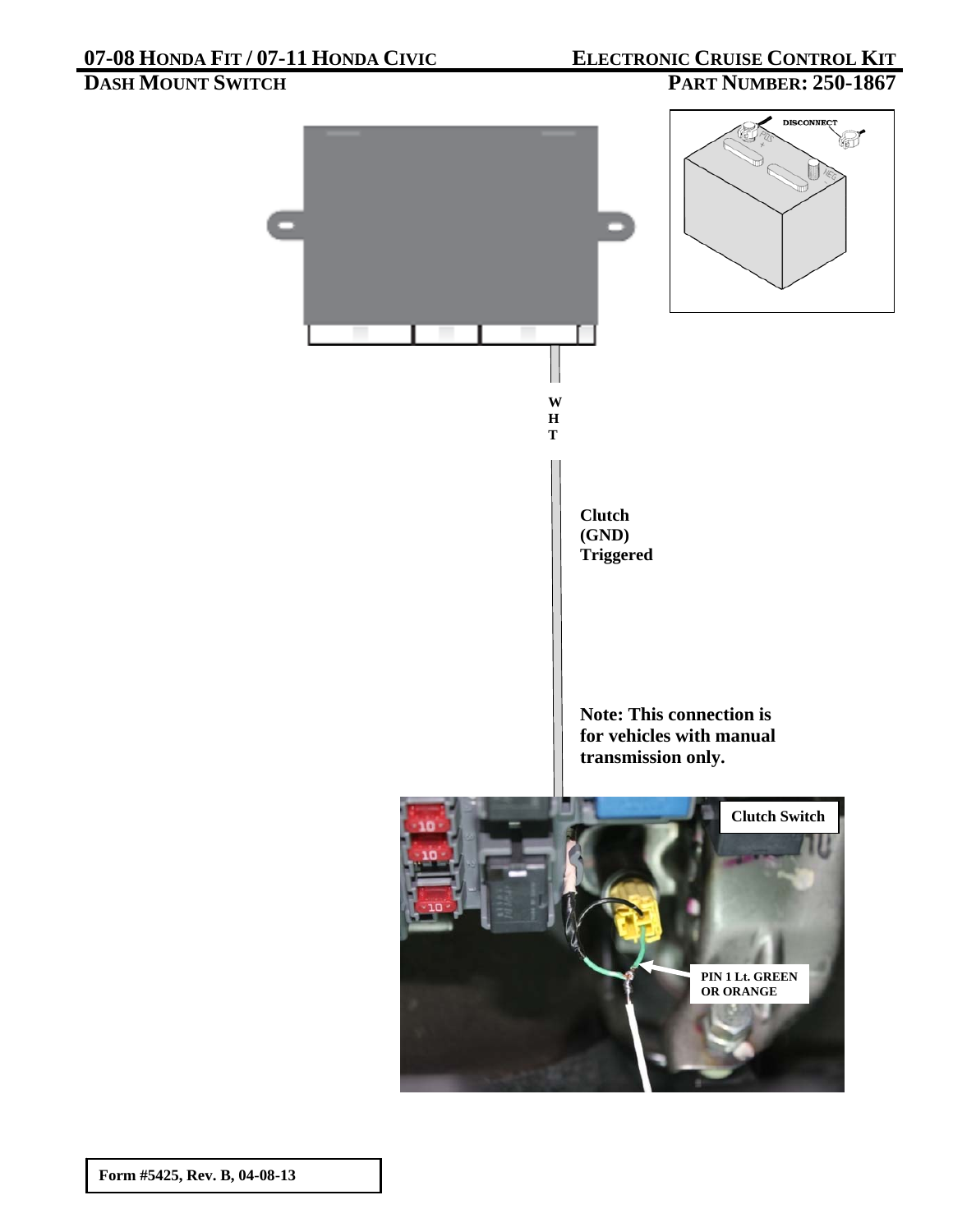## **DASH MOUNT SWITCH PART NUMBER: 250-1867**

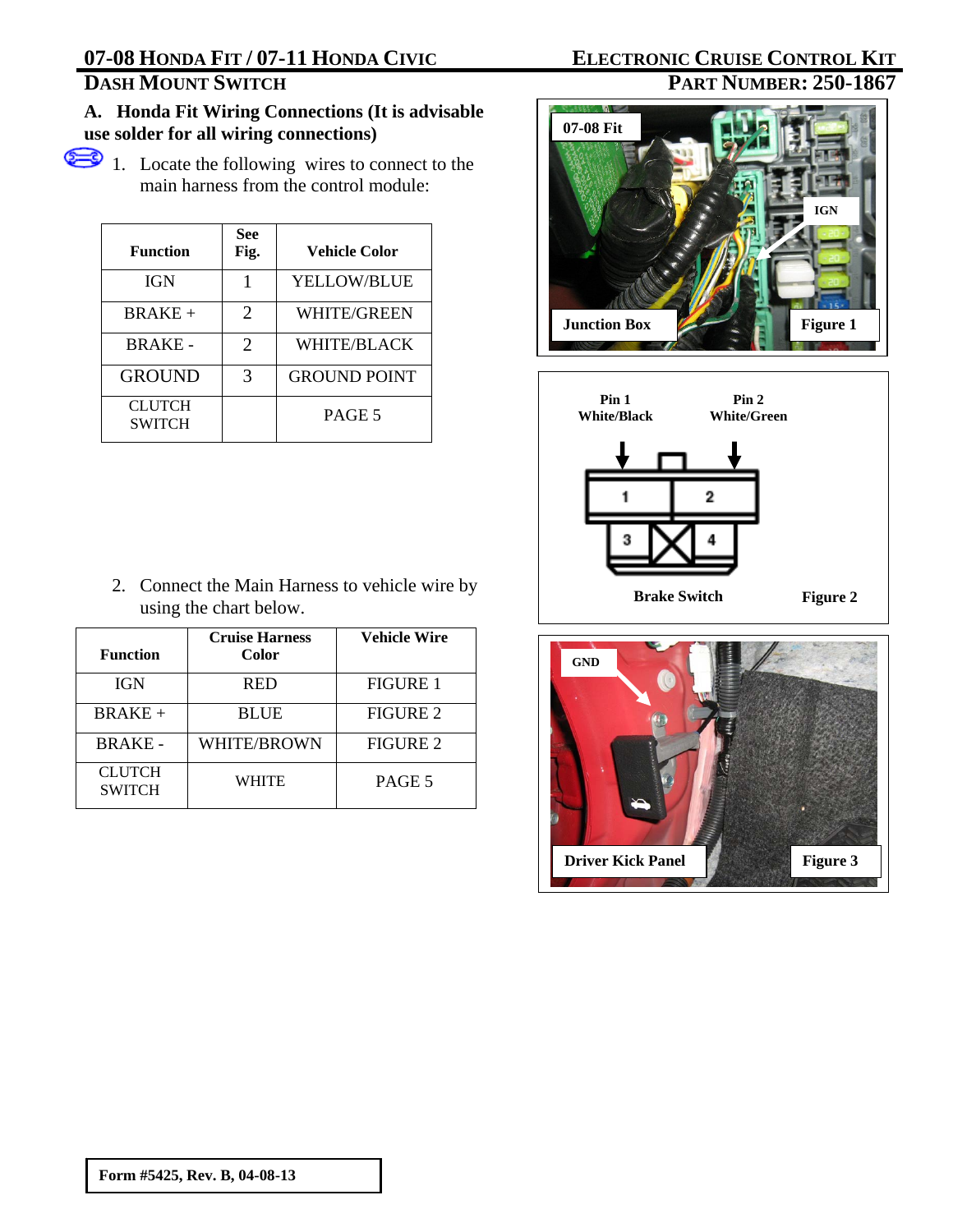## **A. Honda Fit Wiring Connections (It is advisable use solder for all wiring connections)**

1. Locate the following wires to connect to the main harness from the control module:

| <b>Function</b>         | See<br>Fig. | <b>Vehicle Color</b> |
|-------------------------|-------------|----------------------|
| <b>IGN</b>              |             | <b>YELLOW/BLUE</b>   |
| $BRAKE +$               | 2           | WHITE/GREEN          |
| <b>BRAKE-</b>           | 2           | <b>WHITE/BLACK</b>   |
| <b>GROUND</b>           | 3           | <b>GROUND POINT</b>  |
| CLUTCH<br><b>SWITCH</b> |             | PAGE 5               |

2. Connect the Main Harness to vehicle wire by using the chart below.

| <b>Function</b>                | <b>Cruise Harness</b><br>Color | <b>Vehicle Wire</b> |
|--------------------------------|--------------------------------|---------------------|
| <b>IGN</b>                     | <b>RED</b>                     | <b>FIGURE 1</b>     |
| $BRAKE +$                      | <b>BLUE</b>                    | FIGURE 2            |
| <b>BRAKE-</b>                  | WHITE/BROWN                    | <b>FIGURE 2</b>     |
| <b>CLUTCH</b><br><b>SWITCH</b> | <b>WHITE</b>                   | PAGE 5              |

## **07-08 HONDA FIT / 07-11 HONDA CIVIC ELECTRONIC CRUISE CONTROL KIT**<br> **DASH MOUNT SWITCH PART NUMBER: 250-1867 PART NUMBER: 250-1867**





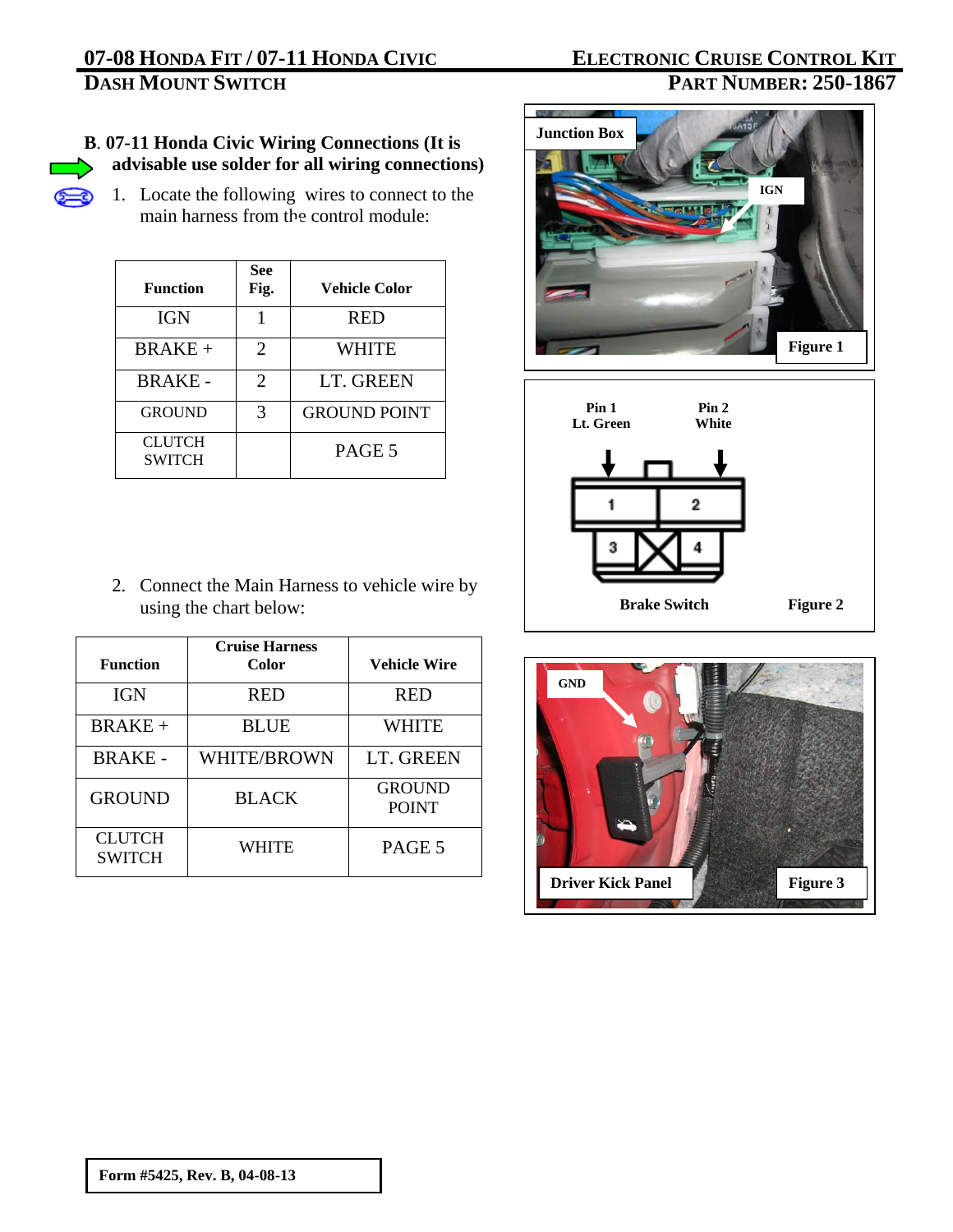# **07-08 HONDA FIT / 07-11 HONDA CIVIC<br>DASH MOUNT SWITCH**

# **ELECTRONIC CRUISE CONTROL KIT<br>PART NUMBER: 250-1867**

## **B**. **07-11 Honda Civic Wiring Connections (It is advisable use solder for all wiring connections)**

1. Locate the following wires to connect to the main harness from the control module:

| <b>Function</b>                | <b>See</b><br>Fig. | <b>Vehicle Color</b> |
|--------------------------------|--------------------|----------------------|
| <b>IGN</b>                     |                    | <b>RED</b>           |
| <b>BRAKE+</b>                  | 2                  | WHITE                |
| <b>BRAKE-</b>                  | 2                  | LT. GREEN            |
| <b>GROUND</b>                  | 3                  | <b>GROUND POINT</b>  |
| <b>CLUTCH</b><br><b>SWITCH</b> |                    | PAGE 5               |

2. Connect the Main Harness to vehicle wire by using the chart below:

| <b>Function</b>                | <b>Cruise Harness</b><br>Color | <b>Vehicle Wire</b>           |
|--------------------------------|--------------------------------|-------------------------------|
| <b>IGN</b>                     | <b>RED</b>                     | <b>RED</b>                    |
| $BRAKE +$                      | <b>BLUE</b>                    | WHITE                         |
| <b>BRAKE-</b>                  | WHITE/BROWN                    | LT. GREEN                     |
| <b>GROUND</b>                  | <b>BLACK</b>                   | <b>GROUND</b><br><b>POINT</b> |
| <b>CLUTCH</b><br><b>SWITCH</b> | WHITE                          | PAGE 5                        |







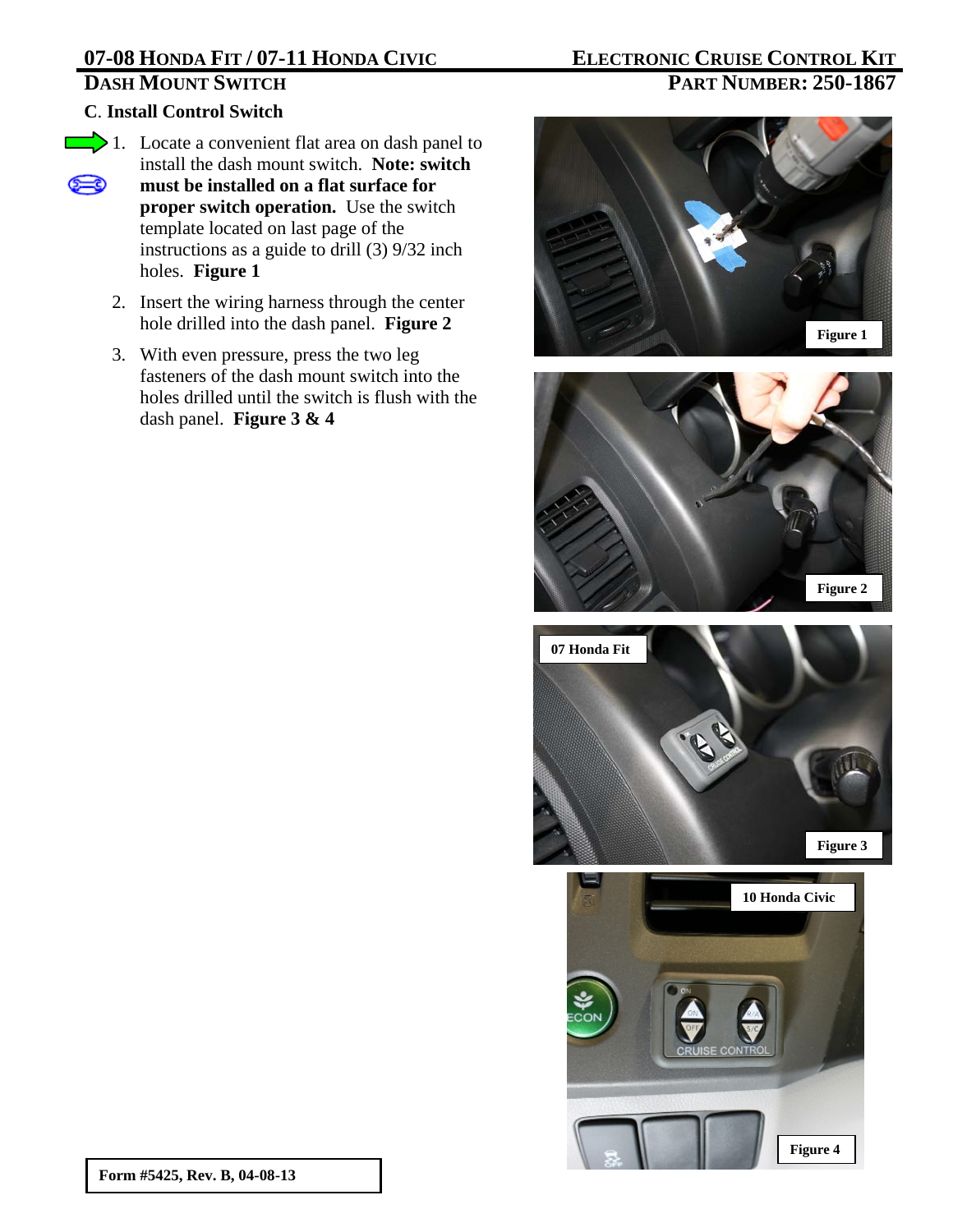## **C**. **Install Control Switch**

- 1. Locate a convenient flat area on dash panel to install the dash mount switch. **Note: switch must be installed on a flat surface for**  ౕ≔౦ **proper switch operation.** Use the switch template located on last page of the instructions as a guide to drill (3) 9/32 inch holes. **Figure 1**
	- 2. Insert the wiring harness through the center hole drilled into the dash panel. **Figure 2**
	- 3. With even pressure, press the two leg fasteners of the dash mount switch into the holes drilled until the switch is flush with the dash panel. **Figure 3 & 4**

# **DASH MOUNT SWITCH PART NUMBER: 250-1867**

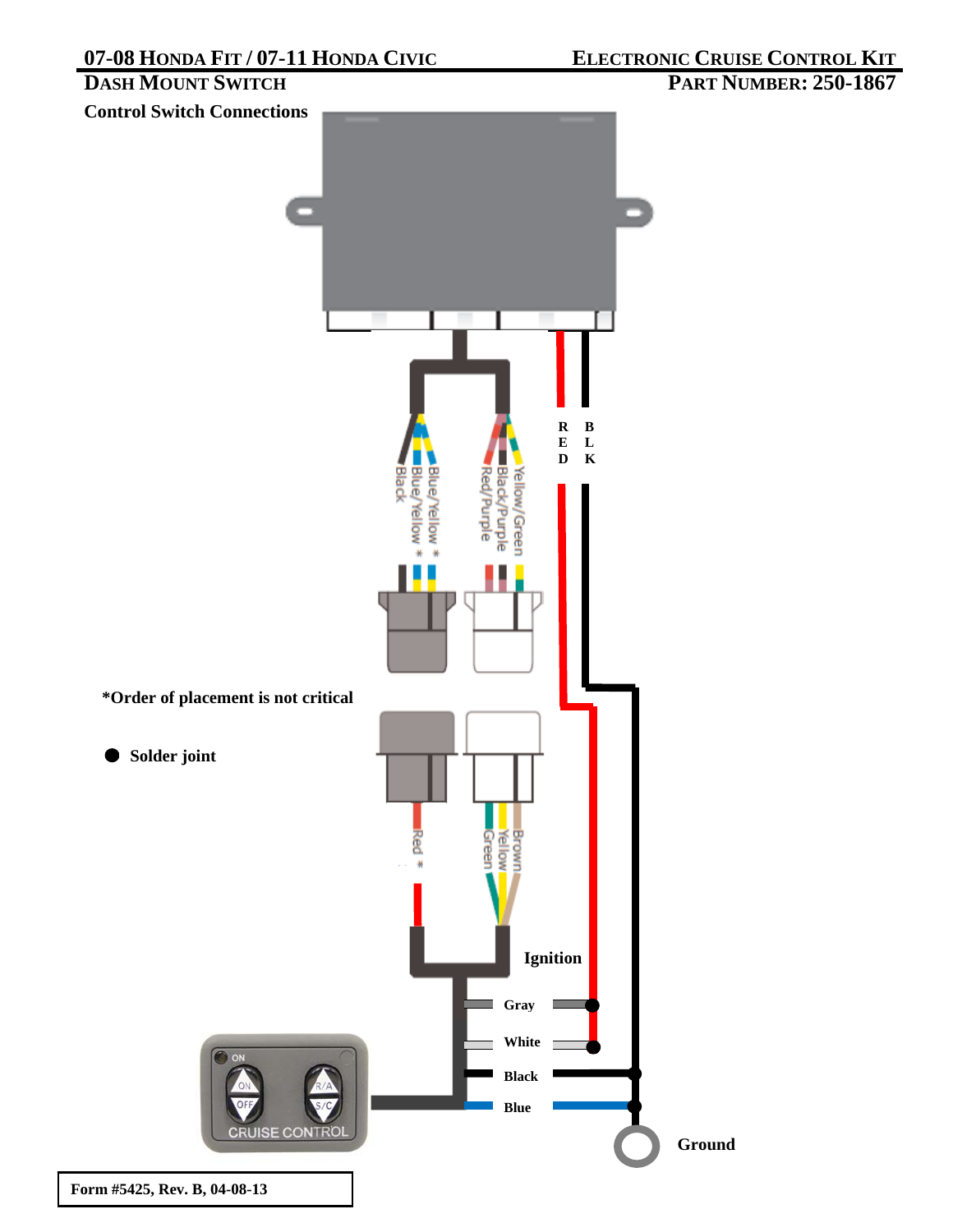## **PART NUMBER: 250-1867**

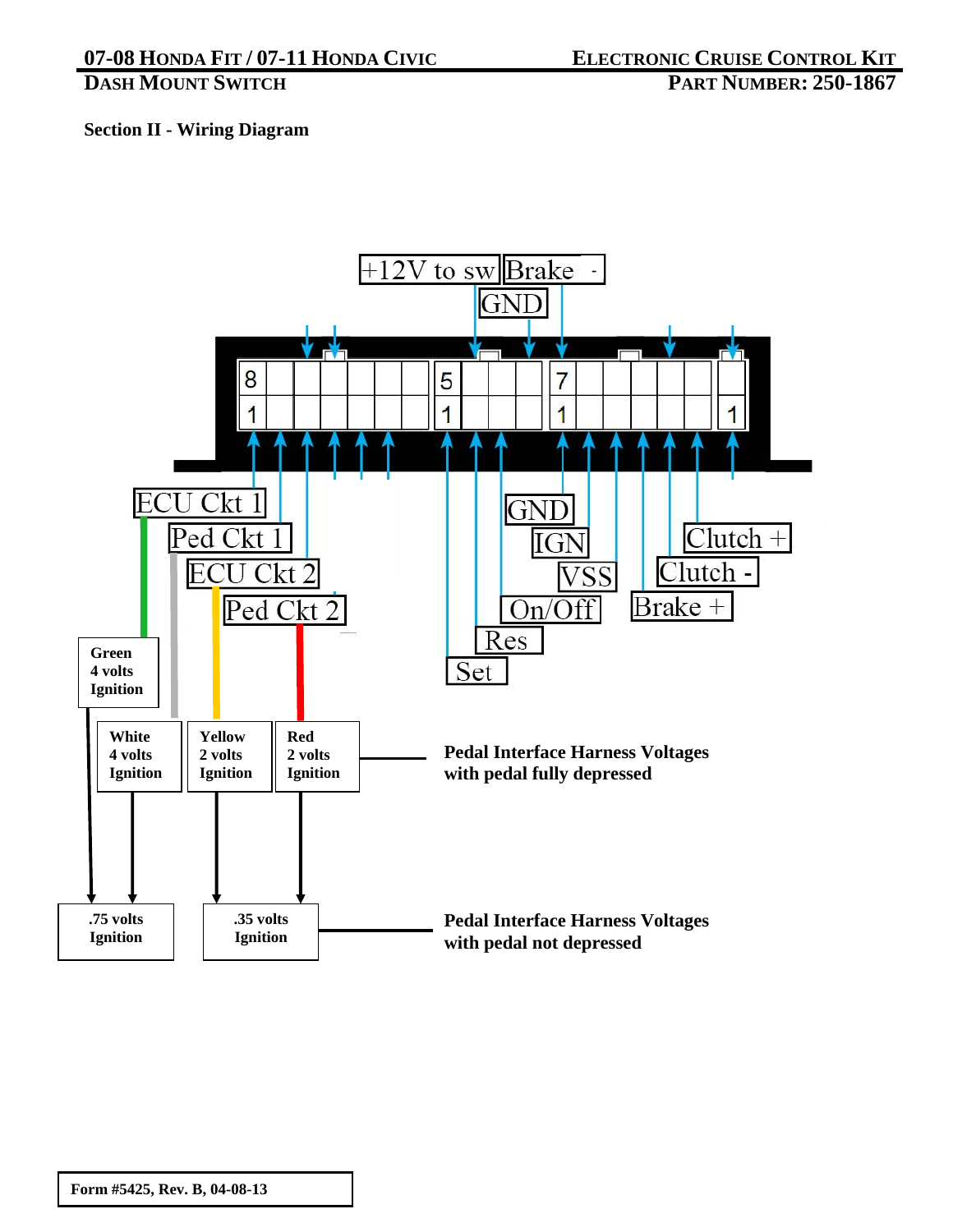# **Section II - Wiring Diagram**

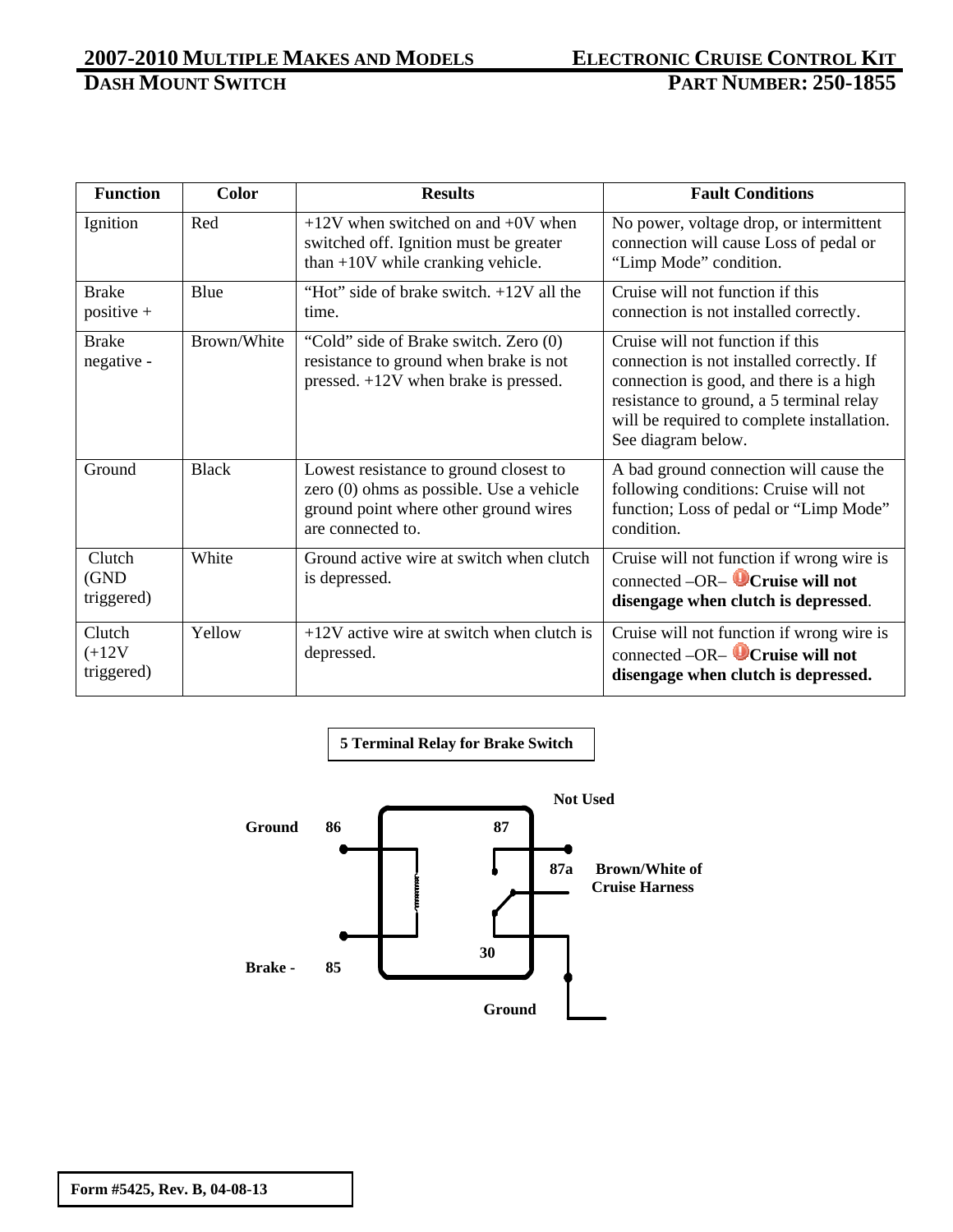| <b>Function</b>                  | <b>Color</b> | <b>Results</b>                                                                                                                                   | <b>Fault Conditions</b>                                                                                                                                                                                                                  |
|----------------------------------|--------------|--------------------------------------------------------------------------------------------------------------------------------------------------|------------------------------------------------------------------------------------------------------------------------------------------------------------------------------------------------------------------------------------------|
| Ignition                         | Red          | $+12V$ when switched on and $+0V$ when<br>switched off. Ignition must be greater<br>than $+10V$ while cranking vehicle.                          | No power, voltage drop, or intermittent<br>connection will cause Loss of pedal or<br>"Limp Mode" condition.                                                                                                                              |
| <b>Brake</b><br>positive +       | Blue         | "Hot" side of brake switch. $+12V$ all the<br>time.                                                                                              | Cruise will not function if this<br>connection is not installed correctly.                                                                                                                                                               |
| <b>Brake</b><br>negative -       | Brown/White  | "Cold" side of Brake switch. Zero (0)<br>resistance to ground when brake is not<br>pressed. $+12V$ when brake is pressed.                        | Cruise will not function if this<br>connection is not installed correctly. If<br>connection is good, and there is a high<br>resistance to ground, a 5 terminal relay<br>will be required to complete installation.<br>See diagram below. |
| Ground                           | <b>Black</b> | Lowest resistance to ground closest to<br>zero (0) ohms as possible. Use a vehicle<br>ground point where other ground wires<br>are connected to. | A bad ground connection will cause the<br>following conditions: Cruise will not<br>function; Loss of pedal or "Limp Mode"<br>condition.                                                                                                  |
| Clutch<br>(GND<br>triggered)     | White        | Ground active wire at switch when clutch<br>is depressed.                                                                                        | Cruise will not function if wrong wire is<br>connected $-OR$ - <b>O</b> Cruise will not<br>disengage when clutch is depressed.                                                                                                           |
| Clutch<br>$(+12V)$<br>triggered) | Yellow       | $+12V$ active wire at switch when clutch is<br>depressed.                                                                                        | Cruise will not function if wrong wire is<br>connected $-OR$ - Cruise will not<br>disengage when clutch is depressed.                                                                                                                    |